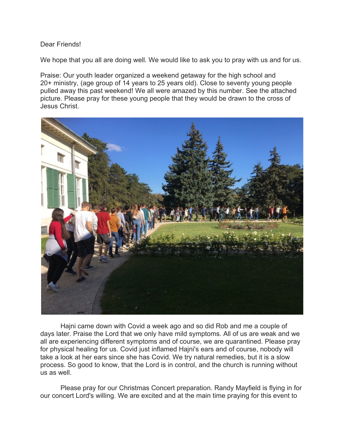## Dear Friends!

We hope that you all are doing well. We would like to ask you to pray with us and for us.

Praise: Our youth leader organized a weekend getaway for the high school and 20+ ministry, (age group of 14 years to 25 years old). Close to seventy young people pulled away this past weekend! We all were amazed by this number. See the attached picture. Please pray for these young people that they would be drawn to the cross of Jesus Christ.



Hajni came down with Covid a week ago and so did Rob and me a couple of days later. Praise the Lord that we only have mild symptoms. All of us are weak and we all are experiencing different symptoms and of course, we are quarantined. Please pray for physical healing for us. Covid just inflamed Hajni's ears and of course, nobody will take a look at her ears since she has Covid. We try natural remedies, but it is a slow process. So good to know, that the Lord is in control, and the church is running without us as well.

Please pray for our Christmas Concert preparation. Randy Mayfield is flying in for our concert Lord's willing. We are excited and at the main time praying for this event to